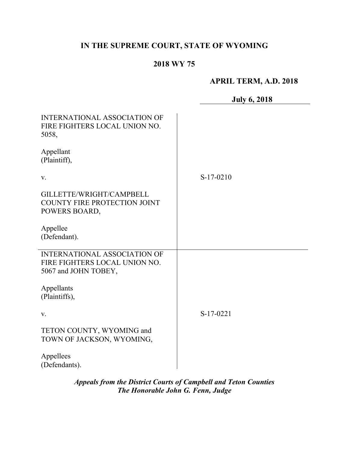# **IN THE SUPREME COURT, STATE OF WYOMING**

## **2018 WY 75**

## **APRIL TERM, A.D. 2018**

|                                                                                              | <b>July 6, 2018</b> |
|----------------------------------------------------------------------------------------------|---------------------|
| <b>INTERNATIONAL ASSOCIATION OF</b><br>FIRE FIGHTERS LOCAL UNION NO.<br>5058,                |                     |
| Appellant<br>(Plaintiff),                                                                    |                     |
| V.                                                                                           | $S-17-0210$         |
| GILLETTE/WRIGHT/CAMPBELL<br>COUNTY FIRE PROTECTION JOINT<br>POWERS BOARD,                    |                     |
| Appellee<br>(Defendant).                                                                     |                     |
| <b>INTERNATIONAL ASSOCIATION OF</b><br>FIRE FIGHTERS LOCAL UNION NO.<br>5067 and JOHN TOBEY, |                     |
| Appellants<br>(Plaintiffs),                                                                  |                     |
| V.                                                                                           | S-17-0221           |
| TETON COUNTY, WYOMING and<br>TOWN OF JACKSON, WYOMING,                                       |                     |
| Appellees<br>(Defendants).                                                                   |                     |

*Appeals from the District Courts of Campbell and Teton Counties The Honorable John G. Fenn, Judge*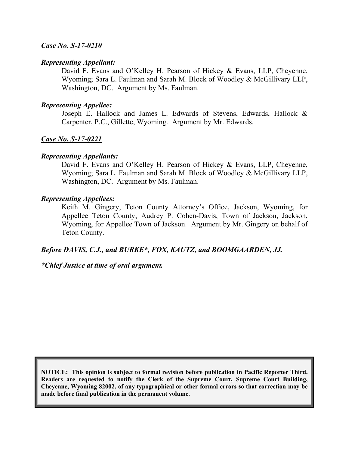### *Case No. S-17-0210*

#### *Representing Appellant:*

David F. Evans and O'Kelley H. Pearson of Hickey & Evans, LLP, Cheyenne, Wyoming; Sara L. Faulman and Sarah M. Block of Woodley & McGillivary LLP, Washington, DC. Argument by Ms. Faulman.

#### *Representing Appellee:*

Joseph E. Hallock and James L. Edwards of Stevens, Edwards, Hallock & Carpenter, P.C., Gillette, Wyoming. Argument by Mr. Edwards.

#### *Case No. S-17-0221*

#### *Representing Appellants:*

David F. Evans and O'Kelley H. Pearson of Hickey & Evans, LLP, Cheyenne, Wyoming; Sara L. Faulman and Sarah M. Block of Woodley & McGillivary LLP, Washington, DC. Argument by Ms. Faulman.

#### *Representing Appellees:*

Keith M. Gingery, Teton County Attorney's Office, Jackson, Wyoming, for Appellee Teton County; Audrey P. Cohen-Davis, Town of Jackson, Jackson, Wyoming, for Appellee Town of Jackson. Argument by Mr. Gingery on behalf of Teton County.

#### *Before DAVIS, C.J., and BURKE\*, FOX, KAUTZ, and BOOMGAARDEN, JJ.*

### *\*Chief Justice at time of oral argument.*

**NOTICE: This opinion is subject to formal revision before publication in Pacific Reporter Third. Readers are requested to notify the Clerk of the Supreme Court, Supreme Court Building, Cheyenne, Wyoming 82002, of any typographical or other formal errors so that correction may be made before final publication in the permanent volume.**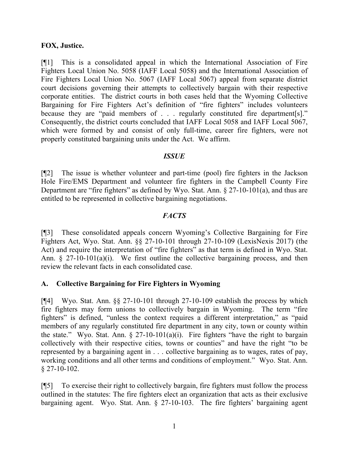### **FOX, Justice.**

[¶1] This is a consolidated appeal in which the International Association of Fire Fighters Local Union No. 5058 (IAFF Local 5058) and the International Association of Fire Fighters Local Union No. 5067 (IAFF Local 5067) appeal from separate district court decisions governing their attempts to collectively bargain with their respective corporate entities. The district courts in both cases held that the Wyoming Collective Bargaining for Fire Fighters Act's definition of "fire fighters" includes volunteers because they are "paid members of . . . regularly constituted fire department[s]." Consequently, the district courts concluded that IAFF Local 5058 and IAFF Local 5067, which were formed by and consist of only full-time, career fire fighters, were not properly constituted bargaining units under the Act. We affirm.

### *ISSUE*

[¶2] The issue is whether volunteer and part-time (pool) fire fighters in the Jackson Hole Fire/EMS Department and volunteer fire fighters in the Campbell County Fire Department are "fire fighters" as defined by Wyo. Stat. Ann. § 27-10-101(a), and thus are entitled to be represented in collective bargaining negotiations.

## *FACTS*

[¶3] These consolidated appeals concern Wyoming's Collective Bargaining for Fire Fighters Act, Wyo. Stat. Ann. §§ 27-10-101 through 27-10-109 (LexisNexis 2017) (the Act) and require the interpretation of "fire fighters" as that term is defined in Wyo. Stat. Ann.  $\S$  27-10-101(a)(i). We first outline the collective bargaining process, and then review the relevant facts in each consolidated case.

## **A. Collective Bargaining for Fire Fighters in Wyoming**

[¶4] Wyo. Stat. Ann. §§ 27-10-101 through 27-10-109 establish the process by which fire fighters may form unions to collectively bargain in Wyoming. The term "fire fighters" is defined, "unless the context requires a different interpretation," as "paid members of any regularly constituted fire department in any city, town or county within the state." Wyo. Stat. Ann.  $\S 27-10-101(a)(i)$ . Fire fighters "have the right to bargain collectively with their respective cities, towns or counties" and have the right "to be represented by a bargaining agent in . . . collective bargaining as to wages, rates of pay, working conditions and all other terms and conditions of employment." Wyo. Stat. Ann.  $§$  27-10-102.

[¶5] To exercise their right to collectively bargain, fire fighters must follow the process outlined in the statutes: The fire fighters elect an organization that acts as their exclusive bargaining agent. Wyo. Stat. Ann. § 27-10-103. The fire fighters' bargaining agent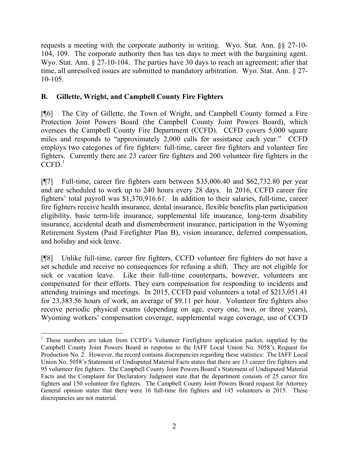requests a meeting with the corporate authority in writing. Wyo. Stat. Ann. §§ 27-10- 104, 109. The corporate authority then has ten days to meet with the bargaining agent. Wyo. Stat. Ann. § 27-10-104. The parties have 30 days to reach an agreement; after that time, all unresolved issues are submitted to mandatory arbitration. Wyo. Stat. Ann. § 27- 10-105.

## **B. Gillette, Wright, and Campbell County Fire Fighters**

[¶6] The City of Gillette, the Town of Wright, and Campbell County formed a Fire Protection Joint Powers Board (the Campbell County Joint Powers Board), which oversees the Campbell County Fire Department (CCFD). CCFD covers 5,000 square miles and responds to "approximately 2,000 calls for assistance each year." CCFD employs two categories of fire fighters: full-time, career fire fighters and volunteer fire fighters. Currently there are 23 career fire fighters and 200 volunteer fire fighters in the  $\text{CCFD}$ <sup>1</sup>

[¶7] Full-time, career fire fighters earn between \$35,006.40 and \$62,732.80 per year and are scheduled to work up to 240 hours every 28 days. In 2016, CCFD career fire fighters' total payroll was \$1,370,916.61. In addition to their salaries, full-time, career fire fighters receive health insurance, dental insurance, flexible benefits plan participation eligibility, basic term-life insurance, supplemental life insurance, long-term disability insurance, accidental death and dismemberment insurance, participation in the Wyoming Retirement System (Paid Firefighter Plan B), vision insurance, deferred compensation, and holiday and sick leave.

[¶8] Unlike full-time, career fire fighters, CCFD volunteer fire fighters do not have a set schedule and receive no consequences for refusing a shift. They are not eligible for sick or vacation leave. Like their full-time counterparts, however, volunteers are compensated for their efforts. They earn compensation for responding to incidents and attending trainings and meetings. In 2015, CCFD paid volunteers a total of \$213,051.41 for 23,383.56 hours of work, an average of \$9.11 per hour. Volunteer fire fighters also receive periodic physical exams (depending on age, every one, two, or three years), Wyoming workers' compensation coverage, supplemental wage coverage, use of CCFD

 <sup>1</sup> These numbers are taken from CCFD's Volunteer Firefighters application packet, supplied by the Campbell County Joint Powers Board in response to the IAFF Local Union No. 5058's Request for Production No. 2. However, the record contains discrepancies regarding these statistics: The IAFF Local Union No. 5058's Statement of Undisputed Material Facts states that there are 13 career fire fighters and 95 volunteer fire fighters. The Campbell County Joint Powers Board's Statement of Undisputed Material Facts and the Complaint for Declaratory Judgment state that the department consists of 25 career fire fighters and 150 volunteer fire fighters. The Campbell County Joint Powers Board request for Attorney General opinion states that there were 16 full-time fire fighters and 145 volunteers in 2015. These discrepancies are not material.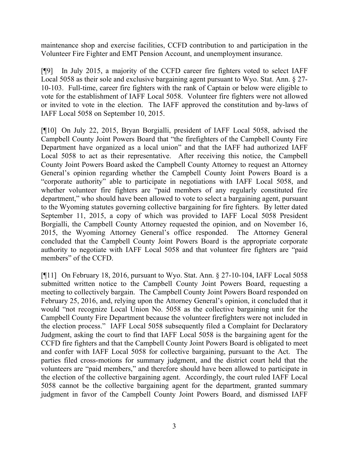maintenance shop and exercise facilities, CCFD contribution to and participation in the Volunteer Fire Fighter and EMT Pension Account, and unemployment insurance.

[¶9] In July 2015, a majority of the CCFD career fire fighters voted to select IAFF Local 5058 as their sole and exclusive bargaining agent pursuant to Wyo. Stat. Ann. § 27- 10-103. Full-time, career fire fighters with the rank of Captain or below were eligible to vote for the establishment of IAFF Local 5058. Volunteer fire fighters were not allowed or invited to vote in the election. The IAFF approved the constitution and by-laws of IAFF Local 5058 on September 10, 2015.

[¶10] On July 22, 2015, Bryan Borgialli, president of IAFF Local 5058, advised the Campbell County Joint Powers Board that "the firefighters of the Campbell County Fire Department have organized as a local union" and that the IAFF had authorized IAFF Local 5058 to act as their representative. After receiving this notice, the Campbell County Joint Powers Board asked the Campbell County Attorney to request an Attorney General's opinion regarding whether the Campbell County Joint Powers Board is a "corporate authority" able to participate in negotiations with IAFF Local 5058, and whether volunteer fire fighters are "paid members of any regularly constituted fire department," who should have been allowed to vote to select a bargaining agent, pursuant to the Wyoming statutes governing collective bargaining for fire fighters. By letter dated September 11, 2015, a copy of which was provided to IAFF Local 5058 President Borgialli, the Campbell County Attorney requested the opinion, and on November 16, 2015, the Wyoming Attorney General's office responded. The Attorney General concluded that the Campbell County Joint Powers Board is the appropriate corporate authority to negotiate with IAFF Local 5058 and that volunteer fire fighters are "paid members" of the CCFD.

[¶11] On February 18, 2016, pursuant to Wyo. Stat. Ann. § 27-10-104, IAFF Local 5058 submitted written notice to the Campbell County Joint Powers Board, requesting a meeting to collectively bargain. The Campbell County Joint Powers Board responded on February 25, 2016, and, relying upon the Attorney General's opinion, it concluded that it would "not recognize Local Union No. 5058 as the collective bargaining unit for the Campbell County Fire Department because the volunteer firefighters were not included in the election process." IAFF Local 5058 subsequently filed a Complaint for Declaratory Judgment, asking the court to find that IAFF Local 5058 is the bargaining agent for the CCFD fire fighters and that the Campbell County Joint Powers Board is obligated to meet and confer with IAFF Local 5058 for collective bargaining, pursuant to the Act. The parties filed cross-motions for summary judgment, and the district court held that the volunteers are "paid members," and therefore should have been allowed to participate in the election of the collective bargaining agent. Accordingly, the court ruled IAFF Local 5058 cannot be the collective bargaining agent for the department, granted summary judgment in favor of the Campbell County Joint Powers Board, and dismissed IAFF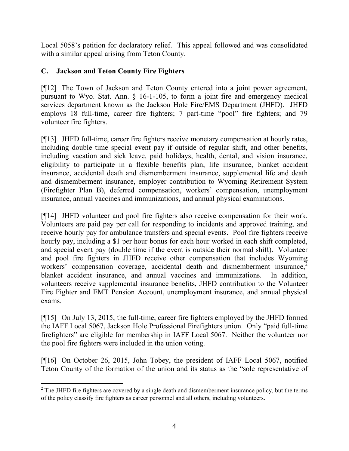Local 5058's petition for declaratory relief. This appeal followed and was consolidated with a similar appeal arising from Teton County.

## **C. Jackson and Teton County Fire Fighters**

[¶12] The Town of Jackson and Teton County entered into a joint power agreement, pursuant to Wyo. Stat. Ann. § 16-1-105, to form a joint fire and emergency medical services department known as the Jackson Hole Fire/EMS Department (JHFD). JHFD employs 18 full-time, career fire fighters; 7 part-time "pool" fire fighters; and 79 volunteer fire fighters.

[¶13] JHFD full-time, career fire fighters receive monetary compensation at hourly rates, including double time special event pay if outside of regular shift, and other benefits, including vacation and sick leave, paid holidays, health, dental, and vision insurance, eligibility to participate in a flexible benefits plan, life insurance, blanket accident insurance, accidental death and dismemberment insurance, supplemental life and death and dismemberment insurance, employer contribution to Wyoming Retirement System (Firefighter Plan B), deferred compensation, workers' compensation, unemployment insurance, annual vaccines and immunizations, and annual physical examinations.

[¶14] JHFD volunteer and pool fire fighters also receive compensation for their work. Volunteers are paid pay per call for responding to incidents and approved training, and receive hourly pay for ambulance transfers and special events. Pool fire fighters receive hourly pay, including a \$1 per hour bonus for each hour worked in each shift completed, and special event pay (double time if the event is outside their normal shift). Volunteer and pool fire fighters in JHFD receive other compensation that includes Wyoming workers' compensation coverage, accidental death and dismemberment insurance,<sup>2</sup> blanket accident insurance, and annual vaccines and immunizations. In addition, volunteers receive supplemental insurance benefits, JHFD contribution to the Volunteer Fire Fighter and EMT Pension Account, unemployment insurance, and annual physical exams.

[¶15] On July 13, 2015, the full-time, career fire fighters employed by the JHFD formed the IAFF Local 5067, Jackson Hole Professional Firefighters union. Only "paid full-time firefighters" are eligible for membership in IAFF Local 5067. Neither the volunteer nor the pool fire fighters were included in the union voting.

[¶16] On October 26, 2015, John Tobey, the president of IAFF Local 5067, notified Teton County of the formation of the union and its status as the "sole representative of

  $2$  The JHFD fire fighters are covered by a single death and dismemberment insurance policy, but the terms of the policy classify fire fighters as career personnel and all others, including volunteers.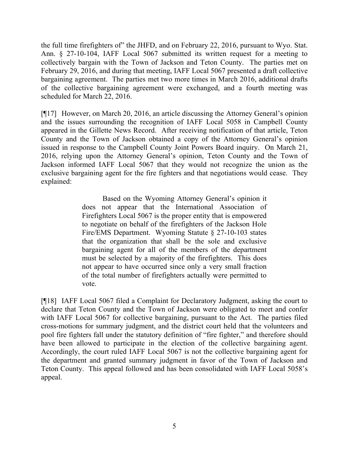the full time firefighters of" the JHFD, and on February 22, 2016, pursuant to Wyo. Stat. Ann. § 27-10-104, IAFF Local 5067 submitted its written request for a meeting to collectively bargain with the Town of Jackson and Teton County. The parties met on February 29, 2016, and during that meeting, IAFF Local 5067 presented a draft collective bargaining agreement. The parties met two more times in March 2016, additional drafts of the collective bargaining agreement were exchanged, and a fourth meeting was scheduled for March 22, 2016.

[¶17] However, on March 20, 2016, an article discussing the Attorney General's opinion and the issues surrounding the recognition of IAFF Local 5058 in Campbell County appeared in the Gillette News Record. After receiving notification of that article, Teton County and the Town of Jackson obtained a copy of the Attorney General's opinion issued in response to the Campbell County Joint Powers Board inquiry. On March 21, 2016, relying upon the Attorney General's opinion, Teton County and the Town of Jackson informed IAFF Local 5067 that they would not recognize the union as the exclusive bargaining agent for the fire fighters and that negotiations would cease. They explained:

> Based on the Wyoming Attorney General's opinion it does not appear that the International Association of Firefighters Local 5067 is the proper entity that is empowered to negotiate on behalf of the firefighters of the Jackson Hole Fire/EMS Department. Wyoming Statute § 27-10-103 states that the organization that shall be the sole and exclusive bargaining agent for all of the members of the department must be selected by a majority of the firefighters. This does not appear to have occurred since only a very small fraction of the total number of firefighters actually were permitted to vote.

[¶18] IAFF Local 5067 filed a Complaint for Declaratory Judgment, asking the court to declare that Teton County and the Town of Jackson were obligated to meet and confer with IAFF Local 5067 for collective bargaining, pursuant to the Act. The parties filed cross-motions for summary judgment, and the district court held that the volunteers and pool fire fighters fall under the statutory definition of "fire fighter," and therefore should have been allowed to participate in the election of the collective bargaining agent. Accordingly, the court ruled IAFF Local 5067 is not the collective bargaining agent for the department and granted summary judgment in favor of the Town of Jackson and Teton County. This appeal followed and has been consolidated with IAFF Local 5058's appeal.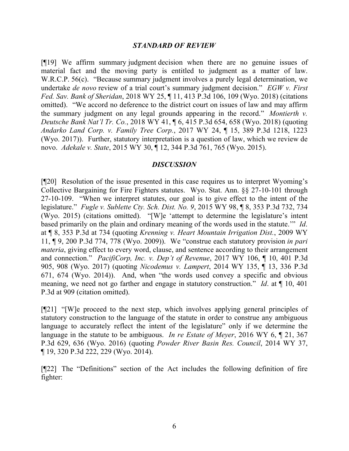### *STANDARD OF REVIEW*

[¶19] We affirm summary judgment decision when there are no genuine issues of material fact and the moving party is entitled to judgment as a matter of law. W.R.C.P. 56(c). "Because summary judgment involves a purely legal determination, we undertake *de novo* review of a trial court's summary judgment decision." *EGW v. First Fed. Sav. Bank of Sheridan*, 2018 WY 25, ¶ 11, 413 P.3d 106, 109 (Wyo. 2018) (citations omitted). "We accord no deference to the district court on issues of law and may affirm the summary judgment on any legal grounds appearing in the record." *Montierth v. Deutsche Bank Nat'l Tr. Co.*, 2018 WY 41, ¶ 6, 415 P.3d 654, 658 (Wyo. 2018) (quoting *Andarko Land Corp. v. Family Tree Corp.*, 2017 WY 24, ¶ 15, 389 P.3d 1218, 1223 (Wyo. 2017)). Further, statutory interpretation is a question of law, which we review de novo. *Adekale v. State*, 2015 WY 30, ¶ 12, 344 P.3d 761, 765 (Wyo. 2015).

#### *DISCUSSION*

[¶20] Resolution of the issue presented in this case requires us to interpret Wyoming's Collective Bargaining for Fire Fighters statutes. Wyo. Stat. Ann. §§ 27-10-101 through 27-10-109. "When we interpret statutes, our goal is to give effect to the intent of the legislature." *Fugle v. Sublette Cty. Sch. Dist. No. 9*, 2015 WY 98, ¶ 8, 353 P.3d 732, 734 (Wyo. 2015) (citations omitted). "[W]e 'attempt to determine the legislature's intent based primarily on the plain and ordinary meaning of the words used in the statute.'" *Id*. at ¶ 8, 353 P.3d at 734 (quoting *Krenning v. Heart Mountain Irrigation Dist.*, 2009 WY 11, ¶ 9, 200 P.3d 774, 778 (Wyo. 2009)). We "construe each statutory provision *in pari materia*, giving effect to every word, clause, and sentence according to their arrangement and connection." *PacifiCorp, Inc. v. Dep't of Revenue*, 2017 WY 106, ¶ 10, 401 P.3d 905, 908 (Wyo. 2017) (quoting *Nicodemus v. Lampert*, 2014 WY 135, ¶ 13, 336 P.3d 671, 674 (Wyo. 2014)). And, when "the words used convey a specific and obvious meaning, we need not go farther and engage in statutory construction." *Id*. at ¶ 10, 401 P.3d at 909 (citation omitted).

[¶21] "[W]e proceed to the next step, which involves applying general principles of statutory construction to the language of the statute in order to construe any ambiguous language to accurately reflect the intent of the legislature" only if we determine the language in the statute to be ambiguous. *In re Estate of Meyer*, 2016 WY 6, ¶ 21, 367 P.3d 629, 636 (Wyo. 2016) (quoting *Powder River Basin Res. Council*, 2014 WY 37, ¶ 19, 320 P.3d 222, 229 (Wyo. 2014).

[¶22] The "Definitions" section of the Act includes the following definition of fire fighter: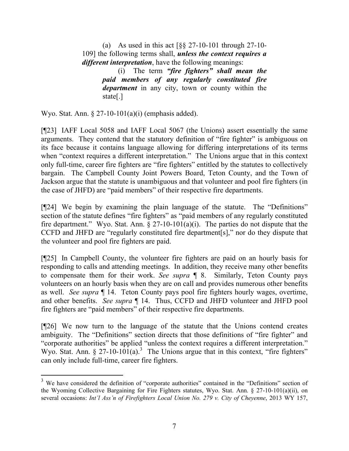(a) As used in this act [§§ 27-10-101 through 27-10- 109] the following terms shall, *unless the context requires a different interpretation*, have the following meanings:

> (i) The term *"fire fighters" shall mean the paid members of any regularly constituted fire department* in any city, town or county within the state[.]

Wyo. Stat. Ann. § 27-10-101(a)(i) (emphasis added).

[¶23] IAFF Local 5058 and IAFF Local 5067 (the Unions) assert essentially the same arguments. They contend that the statutory definition of "fire fighter" is ambiguous on its face because it contains language allowing for differing interpretations of its terms when "context requires a different interpretation." The Unions argue that in this context only full-time, career fire fighters are "fire fighters" entitled by the statutes to collectively bargain. The Campbell County Joint Powers Board, Teton County, and the Town of Jackson argue that the statute is unambiguous and that volunteer and pool fire fighters (in the case of JHFD) are "paid members" of their respective fire departments.

[¶24] We begin by examining the plain language of the statute. The "Definitions" section of the statute defines "fire fighters" as "paid members of any regularly constituted fire department." Wyo. Stat. Ann.  $\S$  27-10-101(a)(i). The parties do not dispute that the CCFD and JHFD are "regularly constituted fire department[s]," nor do they dispute that the volunteer and pool fire fighters are paid.

[¶25] In Campbell County, the volunteer fire fighters are paid on an hourly basis for responding to calls and attending meetings. In addition, they receive many other benefits to compensate them for their work. *See supra* ¶ 8. Similarly, Teton County pays volunteers on an hourly basis when they are on call and provides numerous other benefits as well. *See supra* ¶ 14. Teton County pays pool fire fighters hourly wages, overtime, and other benefits. *See supra* ¶ 14. Thus, CCFD and JHFD volunteer and JHFD pool fire fighters are "paid members" of their respective fire departments.

[¶26] We now turn to the language of the statute that the Unions contend creates ambiguity. The "Definitions" section directs that those definitions of "fire fighter" and "corporate authorities" be applied "unless the context requires a different interpretation." Wyo. Stat. Ann. § 27-10-101(a).<sup>3</sup> The Unions argue that in this context, "fire fighters" can only include full-time, career fire fighters.

 $3$  We have considered the definition of "corporate authorities" contained in the "Definitions" section of the Wyoming Collective Bargaining for Fire Fighters statutes, Wyo. Stat. Ann. § 27-10-101(a)(ii), on several occasions: *Int'l Ass'n of Firefighters Local Union No. 279 v. City of Cheyenne*, 2013 WY 157,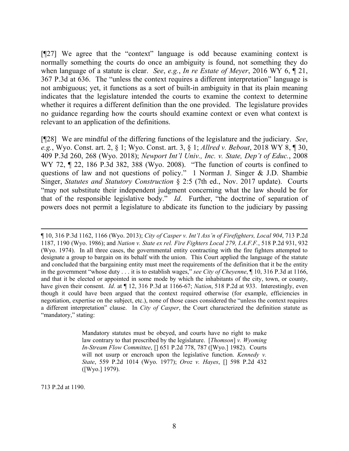[¶27] We agree that the "context" language is odd because examining context is normally something the courts do once an ambiguity is found, not something they do when language of a statute is clear. *See*, *e.g.*, *In re Estate of Meyer*, 2016 WY 6, ¶ 21, 367 P.3d at 636. The "unless the context requires a different interpretation" language is not ambiguous; yet, it functions as a sort of built-in ambiguity in that its plain meaning indicates that the legislature intended the courts to examine the context to determine whether it requires a different definition than the one provided. The legislature provides no guidance regarding how the courts should examine context or even what context is relevant to an application of the definitions.

[¶28] We are mindful of the differing functions of the legislature and the judiciary. *See*, *e.g.*, Wyo. Const. art. 2, § 1; Wyo. Const. art. 3, § 1; *Allred v. Bebout*, 2018 WY 8, ¶ 30, 409 P.3d 260, 268 (Wyo. 2018); *Newport Int'l Univ., Inc. v. State, Dep't of Educ.*, 2008 WY 72, ¶ 22, 186 P.3d 382, 388 (Wyo. 2008). "The function of courts is confined to questions of law and not questions of policy." 1 Norman J. Singer & J.D. Shambie Singer, *Statutes and Statutory Construction* § 2:5 (7th ed., Nov. 2017 update). Courts "may not substitute their independent judgment concerning what the law should be for that of the responsible legislative body." *Id*. Further, "the doctrine of separation of powers does not permit a legislature to abdicate its function to the judiciary by passing

Mandatory statutes must be obeyed, and courts have no right to make law contrary to that prescribed by the legislature. [*Thomson*] *v. Wyoming In-Stream Flow Committee*, [] 651 P.2d 778, 787 ([Wyo.] 1982). Courts will not usurp or encroach upon the legislative function. *Kennedy v. State*, 559 P.2d 1014 (Wyo. 1977); *Oroz v. Hayes*, [] 598 P.2d 432 ([Wyo.] 1979).

713 P.2d at 1190.

 ¶ 10, 316 P.3d 1162, 1166 (Wyo. 2013); *City of Casper v. Int'l Ass'n of Firefighters, Local 904*, 713 P.2d 1187, 1190 (Wyo. 1986); and *Nation v. State ex rel. Fire Fighters Local 279, I.A.F.F.*, 518 P.2d 931, 932 (Wyo. 1974). In all three cases, the governmental entity contracting with the fire fighters attempted to designate a group to bargain on its behalf with the union. This Court applied the language of the statute and concluded that the bargaining entity must meet the requirements of the definition that it be the entity in the government "whose duty . . . it is to establish wages," *see City of Cheyenne*, ¶ 10, 316 P.3d at 1166, and that it be elected or appointed in some mode by which the inhabitants of the city, town, or county, have given their consent. *Id*. at ¶ 12, 316 P.3d at 1166-67; *Nation*, 518 P.2d at 933. Interestingly, even though it could have been argued that the context required otherwise (for example, efficiencies in negotiation, expertise on the subject, etc.), none of those cases considered the "unless the context requires a different interpretation" clause. In *City of Casper*, the Court characterized the definition statute as "mandatory," stating: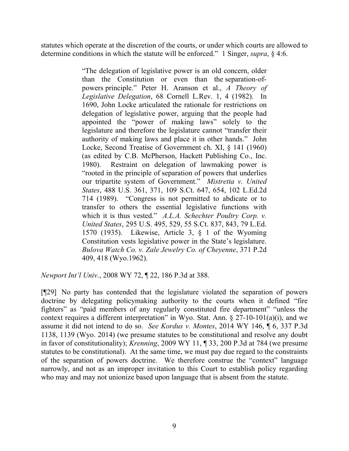statutes which operate at the discretion of the courts, or under which courts are allowed to determine conditions in which the statute will be enforced." 1 Singer, *supra*, § 4:6.

> "The delegation of legislative power is an old concern, older than the Constitution or even than the separation-ofpowers principle." Peter H. Aranson et al., *A Theory of Legislative Delegation*, 68 Cornell L.Rev. 1, 4 (1982). In 1690, John Locke articulated the rationale for restrictions on delegation of legislative power, arguing that the people had appointed the "power of making laws" solely to the legislature and therefore the legislature cannot "transfer their authority of making laws and place it in other hands." John Locke, Second Treatise of Government ch. XI, § 141 (1960) (as edited by C.B. McPherson, Hackett Publishing Co., Inc. 1980). Restraint on delegation of lawmaking power is "rooted in the principle of separation of powers that underlies our tripartite system of Government." *Mistretta v. United States*, 488 U.S. 361, 371, 109 S.Ct. 647, 654, 102 L.Ed.2d 714 (1989). "Congress is not permitted to abdicate or to transfer to others the essential legislative functions with which it is thus vested." *A.L.A. Schechter Poultry Corp. v. United States*, 295 U.S. 495, 529, 55 S.Ct. 837, 843, 79 L.Ed. 1570 (1935). Likewise, Article 3, § 1 of the Wyoming Constitution vests legislative power in the State's legislature. *Bulova Watch Co. v. Zale Jewelry Co. of Cheyenne*, 371 P.2d 409, 418 (Wyo.1962).

*Newport Int'l Univ.*, 2008 WY 72, ¶ 22, 186 P.3d at 388.

[¶29] No party has contended that the legislature violated the separation of powers doctrine by delegating policymaking authority to the courts when it defined "fire fighters" as "paid members of any regularly constituted fire department" "unless the context requires a different interpretation" in Wyo. Stat. Ann.  $\S 27-10-101(a)(i)$ , and we assume it did not intend to do so. *See Kordus v. Montes*, 2014 WY 146, ¶ 6, 337 P.3d 1138, 1139 (Wyo. 2014) (we presume statutes to be constitutional and resolve any doubt in favor of constitutionality); *Krenning*, 2009 WY 11, ¶ 33, 200 P.3d at 784 (we presume statutes to be constitutional). At the same time, we must pay due regard to the constraints of the separation of powers doctrine. We therefore construe the "context" language narrowly, and not as an improper invitation to this Court to establish policy regarding who may and may not unionize based upon language that is absent from the statute.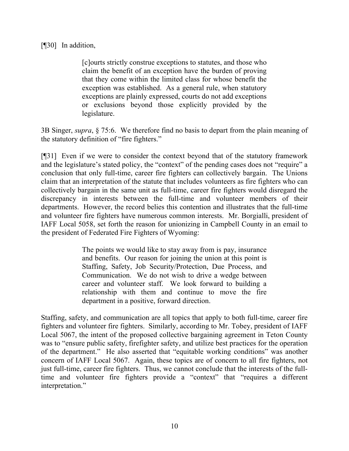## [¶30] In addition,

[c]ourts strictly construe exceptions to statutes, and those who claim the benefit of an exception have the burden of proving that they come within the limited class for whose benefit the exception was established. As a general rule, when statutory exceptions are plainly expressed, courts do not add exceptions or exclusions beyond those explicitly provided by the legislature.

3B Singer, *supra*, § 75:6. We therefore find no basis to depart from the plain meaning of the statutory definition of "fire fighters."

[¶31] Even if we were to consider the context beyond that of the statutory framework and the legislature's stated policy, the "context" of the pending cases does not "require" a conclusion that only full-time, career fire fighters can collectively bargain. The Unions claim that an interpretation of the statute that includes volunteers as fire fighters who can collectively bargain in the same unit as full-time, career fire fighters would disregard the discrepancy in interests between the full-time and volunteer members of their departments. However, the record belies this contention and illustrates that the full-time and volunteer fire fighters have numerous common interests. Mr. Borgialli, president of IAFF Local 5058, set forth the reason for unionizing in Campbell County in an email to the president of Federated Fire Fighters of Wyoming:

> The points we would like to stay away from is pay, insurance and benefits. Our reason for joining the union at this point is Staffing, Safety, Job Security/Protection, Due Process, and Communication. We do not wish to drive a wedge between career and volunteer staff. We look forward to building a relationship with them and continue to move the fire department in a positive, forward direction.

Staffing, safety, and communication are all topics that apply to both full-time, career fire fighters and volunteer fire fighters. Similarly, according to Mr. Tobey, president of IAFF Local 5067, the intent of the proposed collective bargaining agreement in Teton County was to "ensure public safety, firefighter safety, and utilize best practices for the operation of the department." He also asserted that "equitable working conditions" was another concern of IAFF Local 5067. Again, these topics are of concern to all fire fighters, not just full-time, career fire fighters. Thus, we cannot conclude that the interests of the fulltime and volunteer fire fighters provide a "context" that "requires a different interpretation."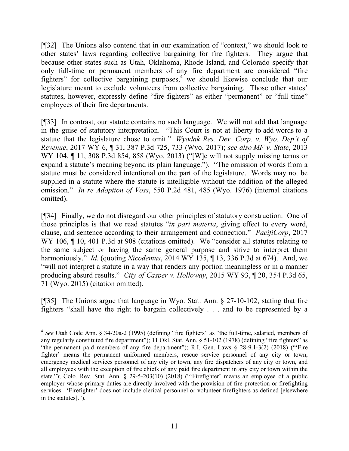[¶32] The Unions also contend that in our examination of "context," we should look to other states' laws regarding collective bargaining for fire fighters. They argue that because other states such as Utah, Oklahoma, Rhode Island, and Colorado specify that only full-time or permanent members of any fire department are considered "fire fighters" for collective bargaining purposes,  $\frac{4}{3}$  we should likewise conclude that our legislature meant to exclude volunteers from collective bargaining. Those other states' statutes, however, expressly define "fire fighters" as either "permanent" or "full time" employees of their fire departments.

[¶33] In contrast, our statute contains no such language. We will not add that language in the guise of statutory interpretation. "This Court is not at liberty to add words to a statute that the legislature chose to omit." *Wyodak Res. Dev. Corp. v. Wyo. Dep't of Revenue*, 2017 WY 6, ¶ 31, 387 P.3d 725, 733 (Wyo. 2017); *see also MF v. State*, 2013 WY 104, ¶ 11, 308 P.3d 854, 858 (Wyo. 2013) ("[W]e will not supply missing terms or expand a statute's meaning beyond its plain language."). "The omission of words from a statute must be considered intentional on the part of the legislature. Words may not be supplied in a statute where the statute is intelligible without the addition of the alleged omission." *In re Adoption of Voss*, 550 P.2d 481, 485 (Wyo. 1976) (internal citations omitted).

[¶34] Finally, we do not disregard our other principles of statutory construction. One of those principles is that we read statutes "*in pari materia*, giving effect to every word, clause, and sentence according to their arrangement and connection." *PacifiCorp*, 2017 WY 106,  $\P$  10, 401 P.3d at 908 (citations omitted). We "consider all statutes relating to the same subject or having the same general purpose and strive to interpret them harmoniously." *Id*. (quoting *Nicodemus*, 2014 WY 135, ¶ 13, 336 P.3d at 674). And, we "will not interpret a statute in a way that renders any portion meaningless or in a manner producing absurd results." *City of Casper v. Holloway*, 2015 WY 93, ¶ 20, 354 P.3d 65, 71 (Wyo. 2015) (citation omitted).

[¶35] The Unions argue that language in Wyo. Stat. Ann. § 27-10-102, stating that fire fighters "shall have the right to bargain collectively . . . and to be represented by a

<sup>&</sup>lt;sup>4</sup> See Utah Code Ann. § 34-20a-2 (1995) (defining "fire fighters" as "the full-time, salaried, members of any regularly constituted fire department"); 11 Okl. Stat. Ann. § 51-102 (1978) (defining "fire fighters" as "the permanent paid members of any fire department"); R.I. Gen. Laws § 28-9.1-3(2) (2018) ("'Fire fighter' means the permanent uniformed members, rescue service personnel of any city or town, emergency medical services personnel of any city or town, any fire dispatchers of any city or town, and all employees with the exception of fire chiefs of any paid fire department in any city or town within the state."); Colo. Rev. Stat. Ann. § 29-5-203(10) (2018) ("'Firefighter' means an employee of a public employer whose primary duties are directly involved with the provision of fire protection or firefighting services. 'Firefighter' does not include clerical personnel or volunteer firefighters as defined [elsewhere in the statutes].").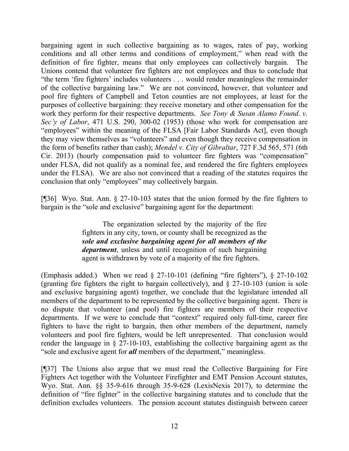bargaining agent in such collective bargaining as to wages, rates of pay, working conditions and all other terms and conditions of employment," when read with the definition of fire fighter, means that only employees can collectively bargain. The Unions contend that volunteer fire fighters are not employees and thus to conclude that "the term 'fire fighters' includes volunteers . . . would render meaningless the remainder of the collective bargaining law." We are not convinced, however, that volunteer and pool fire fighters of Campbell and Teton counties are not employees, at least for the purposes of collective bargaining: they receive monetary and other compensation for the work they perform for their respective departments. *See Tony & Susan Alamo Found. v. Sec'y of Labor*, 471 U.S. 290, 300-02 (1953) (those who work for compensation are "employees" within the meaning of the FLSA [Fair Labor Standards Act], even though they may view themselves as "volunteers" and even though they receive compensation in the form of benefits rather than cash); *Mendel v. City of Gibraltar*, 727 F.3d 565, 571 (6th Cir. 2013) (hourly compensation paid to volunteer fire fighters was "compensation" under FLSA, did not qualify as a nominal fee, and rendered the fire fighters employees under the FLSA). We are also not convinced that a reading of the statutes requires the conclusion that only "employees" may collectively bargain.

[¶36] Wyo. Stat. Ann. § 27-10-103 states that the union formed by the fire fighters to bargain is the "sole and exclusive" bargaining agent for the department:

> The organization selected by the majority of the fire fighters in any city, town, or county shall be recognized as the *sole and exclusive bargaining agent for all members of the department*, unless and until recognition of such bargaining agent is withdrawn by vote of a majority of the fire fighters.

(Emphasis added.) When we read § 27-10-101 (defining "fire fighters"), § 27-10-102 (granting fire fighters the right to bargain collectively), and § 27-10-103 (union is sole and exclusive bargaining agent) together, we conclude that the legislature intended all members of the department to be represented by the collective bargaining agent. There is no dispute that volunteer (and pool) fire fighters are members of their respective departments. If we were to conclude that "context" required only full-time, career fire fighters to have the right to bargain, then other members of the department, namely volunteers and pool fire fighters, would be left unrepresented. That conclusion would render the language in § 27-10-103, establishing the collective bargaining agent as the "sole and exclusive agent for *all* members of the department," meaningless.

[¶37] The Unions also argue that we must read the Collective Bargaining for Fire Fighters Act together with the Volunteer Firefighter and EMT Pension Account statutes, Wyo. Stat. Ann. §§ 35-9-616 through 35-9-628 (LexisNexis 2017), to determine the definition of "fire fighter" in the collective bargaining statutes and to conclude that the definition excludes volunteers. The pension account statutes distinguish between career